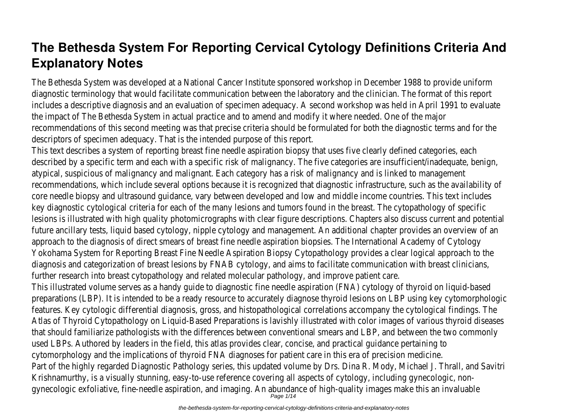# **The Bethesda System For Reporting Cervical Cytology Definitions Criteria And Explanatory Notes**

The Bethesda System was developed at a National Cancer Institute sponsored workshop in December 1988 to provide uniform diagnostic terminology that would facilitate communication between the laboratory and the clinician. The format of this report includes a descriptive diagnosis and an evaluation of specimen adequacy. A second workshop was held in April 1991 to evaluate the impact of The Bethesda System in actual practice and to amend and modify it where needed. One of the major recommendations of this second meeting was that precise criteria should be formulated for both the diagnostic terms and for the descriptors of specimen adequacy. That is the intended purpose of this report.

This text describes a system of reporting breast fine needle aspiration biopsy that uses five clearly defined categories, each described by a specific term and each with a specific risk of malignancy. The five categories are insufficient/inadequate, benign, atypical, suspicious of malignancy and malignant. Each category has a risk of malignancy and is linked to management recommendations, which include several options because it is recognized that diagnostic infrastructure, such as the availability of core needle biopsy and ultrasound guidance, vary between developed and low and middle income countries. This text includes key diagnostic cytological criteria for each of the many lesions and tumors found in the breast. The cytopathology of specific lesions is illustrated with high quality photomicrographs with clear figure descriptions. Chapters also discuss current and potential future ancillary tests, liquid based cytology, nipple cytology and management. An additional chapter provides an overview of an approach to the diagnosis of direct smears of breast fine needle aspiration biopsies. The International Academy of Cytology Yokohama System for Reporting Breast Fine Needle Aspiration Biopsy Cytopathology provides a clear logical approach to the diagnosis and categorization of breast lesions by FNAB cytology, and aims to facilitate communication with breast clinicians, further research into breast cytopathology and related molecular pathology, and improve patient care.

This illustrated volume serves as a handy guide to diagnostic fine needle aspiration (FNA) cytology of thyroid on liquid-based preparations (LBP). It is intended to be a ready resource to accurately diagnose thyroid lesions on LBP using key cytomorphologic features. Key cytologic differential diagnosis, gross, and histopathological correlations accompany the cytological findings. The Atlas of Thyroid Cytopathology on Liquid-Based Preparations is lavishly illustrated with color images of various thyroid diseases that should familiarize pathologists with the differences between conventional smears and LBP, and between the two commonly used LBPs. Authored by leaders in the field, this atlas provides clear, concise, and practical guidance pertaining to cytomorphology and the implications of thyroid FNA diagnoses for patient care in this era of precision medicine. Part of the highly regarded Diagnostic Pathology series, this updated volume by Drs. Dina R. Mody, Michael J. Thrall, and Savitri Krishnamurthy, is a visually stunning, easy-to-use reference covering all aspects of cytology, including gynecologic, nongynecologic exfoliative, fine-needle aspiration, and imaging. An abundance of high-quality images make this an invaluable<br>Page 1/14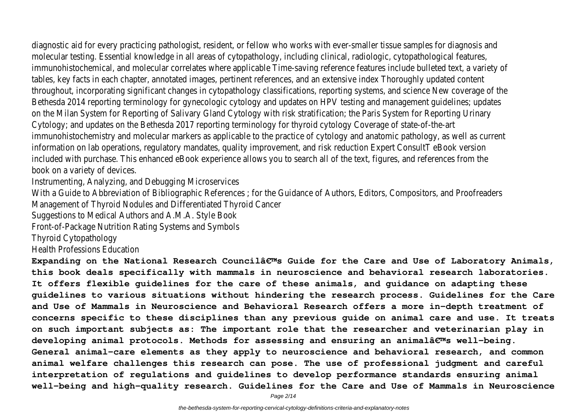diagnostic aid for every practicing pathologist, resident, or fellow who works with ever-smaller tissue samples for diagnosis and

molecular testing. Essential knowledge in all areas of cytopathology, including clinical, radiologic, cytopathological features, immunohistochemical, and molecular correlates where applicable Time-saving reference features include bulleted text, a variety of tables, key facts in each chapter, annotated images, pertinent references, and an extensive index Thoroughly updated content throughout, incorporating significant changes in cytopathology classifications, reporting systems, and science New coverage of the Bethesda 2014 reporting terminology for gynecologic cytology and updates on HPV testing and management guidelines; updates on the Milan System for Reporting of Salivary Gland Cytology with risk stratification; the Paris System for Reporting Urinary Cytology; and updates on the Bethesda 2017 reporting terminology for thyroid cytology Coverage of state-of-the-art immunohistochemistry and molecular markers as applicable to the practice of cytology and anatomic pathology, as well as current information on lab operations, regulatory mandates, quality improvement, and risk reduction Expert ConsultT eBook version included with purchase. This enhanced eBook experience allows you to search all of the text, figures, and references from the book on a variety of devices.

Instrumenting, Analyzing, and Debugging Microservices

With a Guide to Abbreviation of Bibliographic References ; for the Guidance of Authors, Editors, Compositors, and Proofreaders Management of Thyroid Nodules and Differentiated Thyroid Cancer

Suggestions to Medical Authors and A.M.A. Style Book

Front-of-Package Nutrition Rating Systems and Symbols

Thyroid Cytopathology

Health Professions Education

Expanding on the National Research Councilâ€<sup>™</sup>s Guide for the Care and Use of Laboratory Animals, **this book deals specifically with mammals in neuroscience and behavioral research laboratories. It offers flexible guidelines for the care of these animals, and guidance on adapting these guidelines to various situations without hindering the research process. Guidelines for the Care and Use of Mammals in Neuroscience and Behavioral Research offers a more in-depth treatment of concerns specific to these disciplines than any previous guide on animal care and use. It treats on such important subjects as: The important role that the researcher and veterinarian play in** developing animal protocols. Methods for assessing and ensuring an animalâ $\epsilon^{ms}$  well-being. **General animal-care elements as they apply to neuroscience and behavioral research, and common animal welfare challenges this research can pose. The use of professional judgment and careful interpretation of regulations and guidelines to develop performance standards ensuring animal well-being and high-quality research. Guidelines for the Care and Use of Mammals in Neuroscience**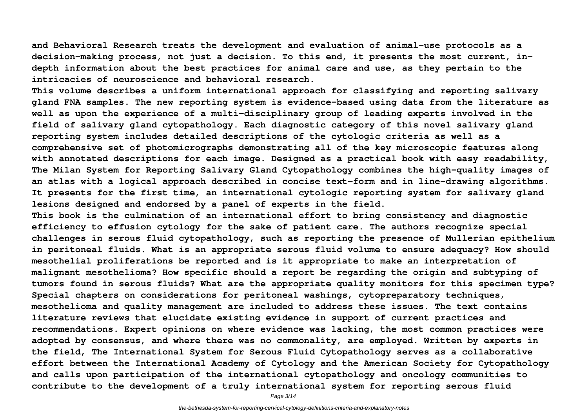**and Behavioral Research treats the development and evaluation of animal-use protocols as a decision-making process, not just a decision. To this end, it presents the most current, indepth information about the best practices for animal care and use, as they pertain to the intricacies of neuroscience and behavioral research.**

**This volume describes a uniform international approach for classifying and reporting salivary gland FNA samples. The new reporting system is evidence-based using data from the literature as well as upon the experience of a multi-disciplinary group of leading experts involved in the field of salivary gland cytopathology. Each diagnostic category of this novel salivary gland reporting system includes detailed descriptions of the cytologic criteria as well as a comprehensive set of photomicrographs demonstrating all of the key microscopic features along with annotated descriptions for each image. Designed as a practical book with easy readability, The Milan System for Reporting Salivary Gland Cytopathology combines the high-quality images of an atlas with a logical approach described in concise text-form and in line-drawing algorithms. It presents for the first time, an international cytologic reporting system for salivary gland lesions designed and endorsed by a panel of experts in the field.**

**This book is the culmination of an international effort to bring consistency and diagnostic efficiency to effusion cytology for the sake of patient care. The authors recognize special challenges in serous fluid cytopathology, such as reporting the presence of Mullerian epithelium in peritoneal fluids. What is an appropriate serous fluid volume to ensure adequacy? How should mesothelial proliferations be reported and is it appropriate to make an interpretation of malignant mesothelioma? How specific should a report be regarding the origin and subtyping of tumors found in serous fluids? What are the appropriate quality monitors for this specimen type? Special chapters on considerations for peritoneal washings, cytopreparatory techniques, mesothelioma and quality management are included to address these issues. The text contains literature reviews that elucidate existing evidence in support of current practices and recommendations. Expert opinions on where evidence was lacking, the most common practices were adopted by consensus, and where there was no commonality, are employed. Written by experts in the field, The International System for Serous Fluid Cytopathology serves as a collaborative effort between the International Academy of Cytology and the American Society for Cytopathology and calls upon participation of the international cytopathology and oncology communities to contribute to the development of a truly international system for reporting serous fluid**

Page 3/14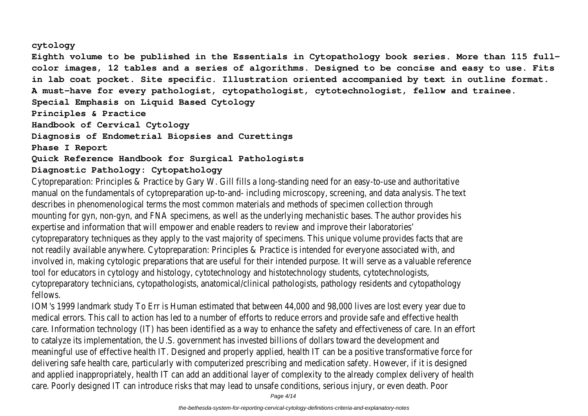#### **cytology**

**Eighth volume to be published in the Essentials in Cytopathology book series. More than 115 fullcolor images, 12 tables and a series of algorithms. Designed to be concise and easy to use. Fits in lab coat pocket. Site specific. Illustration oriented accompanied by text in outline format. A must-have for every pathologist, cytopathologist, cytotechnologist, fellow and trainee. Special Emphasis on Liquid Based Cytology Principles & Practice Handbook of Cervical Cytology Diagnosis of Endometrial Biopsies and Curettings Phase I Report Quick Reference Handbook for Surgical Pathologists**

# **Diagnostic Pathology: Cytopathology**

Cytopreparation: Principles & Practice by Gary W. Gill fills a long-standing need for an easy-to-use and authoritative manual on the fundamentals of cytopreparation up-to-and- including microscopy, screening, and data analysis. The text describes in phenomenological terms the most common materials and methods of specimen collection through mounting for gyn, non-gyn, and FNA specimens, as well as the underlying mechanistic bases. The author provides his expertise and information that will empower and enable readers to review and improve their laboratories' cytopreparatory techniques as they apply to the vast majority of specimens. This unique volume provides facts that are not readily available anywhere. Cytopreparation: Principles & Practice is intended for everyone associated with, and involved in, making cytologic preparations that are useful for their intended purpose. It will serve as a valuable reference tool for educators in cytology and histology, cytotechnology and histotechnology students, cytotechnologists, cytopreparatory technicians, cytopathologists, anatomical/clinical pathologists, pathology residents and cytopathology fellows.

IOM's 1999 landmark study To Err is Human estimated that between 44,000 and 98,000 lives are lost every year due to medical errors. This call to action has led to a number of efforts to reduce errors and provide safe and effective health care. Information technology (IT) has been identified as a way to enhance the safety and effectiveness of care. In an effort to catalyze its implementation, the U.S. government has invested billions of dollars toward the development and meaningful use of effective health IT. Designed and properly applied, health IT can be a positive transformative force for delivering safe health care, particularly with computerized prescribing and medication safety. However, if it is designed and applied inappropriately, health IT can add an additional layer of complexity to the already complex delivery of health care. Poorly designed IT can introduce risks that may lead to unsafe conditions, serious injury, or even death. Poor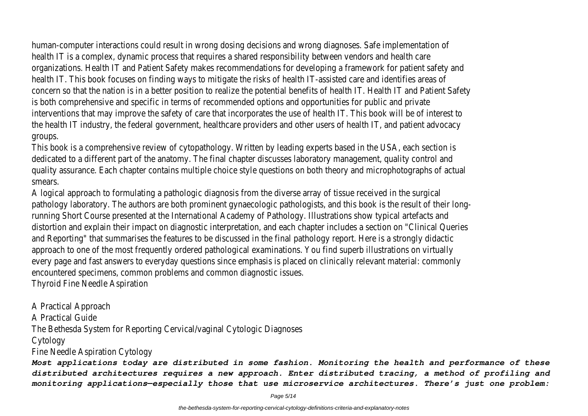human-computer interactions could result in wrong dosing decisions and wrong diagnoses. Safe implementation of health IT is a complex, dynamic process that requires a shared responsibility between vendors and health care organizations. Health IT and Patient Safety makes recommendations for developing a framework for patient safety and health IT. This book focuses on finding ways to mitigate the risks of health IT-assisted care and identifies areas of concern so that the nation is in a better position to realize the potential benefits of health IT. Health IT and Patient Safety is both comprehensive and specific in terms of recommended options and opportunities for public and private interventions that may improve the safety of care that incorporates the use of health IT. This book will be of interest to the health IT industry, the federal government, healthcare providers and other users of health IT, and patient advocacy groups.

This book is a comprehensive review of cytopathology. Written by leading experts based in the USA, each section is dedicated to a different part of the anatomy. The final chapter discusses laboratory management, quality control and quality assurance. Each chapter contains multiple choice style questions on both theory and microphotographs of actual smears.

A logical approach to formulating a pathologic diagnosis from the diverse array of tissue received in the surgical pathology laboratory. The authors are both prominent gynaecologic pathologists, and this book is the result of their longrunning Short Course presented at the International Academy of Pathology. Illustrations show typical artefacts and distortion and explain their impact on diagnostic interpretation, and each chapter includes a section on "Clinical Queries and Reporting" that summarises the features to be discussed in the final pathology report. Here is a strongly didactic approach to one of the most frequently ordered pathological examinations. You find superb illustrations on virtually every page and fast answers to everyday questions since emphasis is placed on clinically relevant material: commonly encountered specimens, common problems and common diagnostic issues.

Thyroid Fine Needle Aspiration

A Practical Approach A Practical Guide The Bethesda System for Reporting Cervical/vaginal Cytologic Diagnoses Cytology Fine Needle Aspiration Cytology

*Most applications today are distributed in some fashion. Monitoring the health and performance of these distributed architectures requires a new approach. Enter distributed tracing, a method of profiling and monitoring applications—especially those that use microservice architectures. There's just one problem:*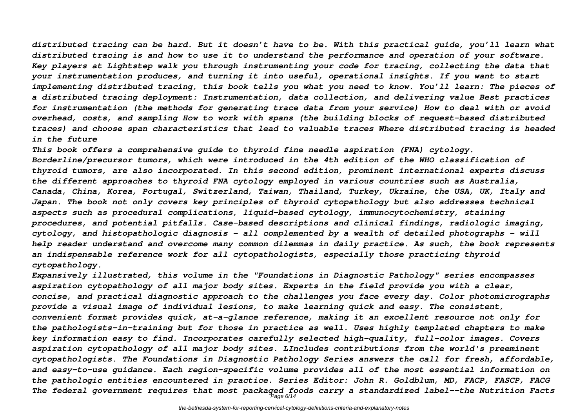*distributed tracing can be hard. But it doesn't have to be. With this practical guide, you'll learn what distributed tracing is and how to use it to understand the performance and operation of your software. Key players at Lightstep walk you through instrumenting your code for tracing, collecting the data that your instrumentation produces, and turning it into useful, operational insights. If you want to start implementing distributed tracing, this book tells you what you need to know. You'll learn: The pieces of a distributed tracing deployment: Instrumentation, data collection, and delivering value Best practices for instrumentation (the methods for generating trace data from your service) How to deal with or avoid overhead, costs, and sampling How to work with spans (the building blocks of request-based distributed traces) and choose span characteristics that lead to valuable traces Where distributed tracing is headed in the future*

*This book offers a comprehensive guide to thyroid fine needle aspiration (FNA) cytology. Borderline/precursor tumors, which were introduced in the 4th edition of the WHO classification of thyroid tumors, are also incorporated. In this second edition, prominent international experts discuss the different approaches to thyroid FNA cytology employed in various countries such as Australia, Canada, China, Korea, Portugal, Switzerland, Taiwan, Thailand, Turkey, Ukraine, the USA, UK, Italy and Japan. The book not only covers key principles of thyroid cytopathology but also addresses technical aspects such as procedural complications, liquid-based cytology, immunocytochemistry, staining procedures, and potential pitfalls. Case-based descriptions and clinical findings, radiologic imaging, cytology, and histopathologic diagnosis – all complemented by a wealth of detailed photographs – will help reader understand and overcome many common dilemmas in daily practice. As such, the book represents an indispensable reference work for all cytopathologists, especially those practicing thyroid cytopathology.*

*Expansively illustrated, this volume in the "Foundations in Diagnostic Pathology" series encompasses aspiration cytopathology of all major body sites. Experts in the field provide you with a clear, concise, and practical diagnostic approach to the challenges you face every day. Color photomicrographs provide a visual image of individual lesions, to make learning quick and easy. The consistent, convenient format provides quick, at-a-glance reference, making it an excellent resource not only for the pathologists-in-training but for those in practice as well. Uses highly templated chapters to make key information easy to find. Incorporates carefully selected high-quality, full-color images. Covers aspiration cytopathology of all major body sites. LIncludes contributions from the world's preeminent cytopathologists. The Foundations in Diagnostic Pathology Series answers the call for fresh, affordable, and easy-to-use guidance. Each region-specific volume provides all of the most essential information on the pathologic entities encountered in practice. Series Editor: John R. Goldblum, MD, FACP, FASCP, FACG The federal government requires that most packaged foods carry a standardized label--the Nutrition Facts* Page 6/14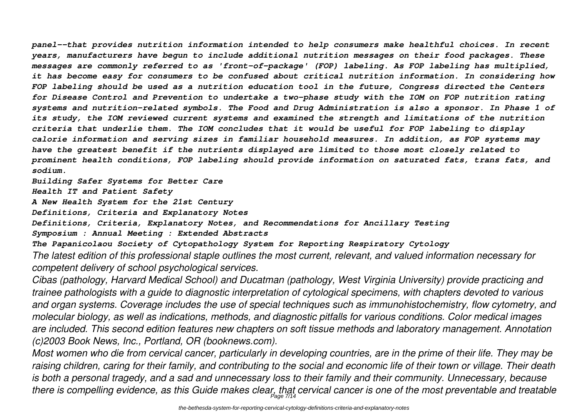*panel--that provides nutrition information intended to help consumers make healthful choices. In recent years, manufacturers have begun to include additional nutrition messages on their food packages. These messages are commonly referred to as 'front-of-package' (FOP) labeling. As FOP labeling has multiplied, it has become easy for consumers to be confused about critical nutrition information. In considering how FOP labeling should be used as a nutrition education tool in the future, Congress directed the Centers for Disease Control and Prevention to undertake a two-phase study with the IOM on FOP nutrition rating systems and nutrition-related symbols. The Food and Drug Administration is also a sponsor. In Phase 1 of its study, the IOM reviewed current systems and examined the strength and limitations of the nutrition criteria that underlie them. The IOM concludes that it would be useful for FOP labeling to display calorie information and serving sizes in familiar household measures. In addition, as FOP systems may have the greatest benefit if the nutrients displayed are limited to those most closely related to prominent health conditions, FOP labeling should provide information on saturated fats, trans fats, and sodium.*

*Building Safer Systems for Better Care*

*Health IT and Patient Safety*

*A New Health System for the 21st Century*

*Definitions, Criteria and Explanatory Notes*

*Definitions, Criteria, Explanatory Notes, and Recommendations for Ancillary Testing*

*Symposium : Annual Meeting : Extended Abstracts*

*The Papanicolaou Society of Cytopathology System for Reporting Respiratory Cytology The latest edition of this professional staple outlines the most current, relevant, and valued information necessary for competent delivery of school psychological services.*

*Cibas (pathology, Harvard Medical School) and Ducatman (pathology, West Virginia University) provide practicing and trainee pathologists with a guide to diagnostic interpretation of cytological specimens, with chapters devoted to various and organ systems. Coverage includes the use of special techniques such as immunohistochemistry, flow cytometry, and molecular biology, as well as indications, methods, and diagnostic pitfalls for various conditions. Color medical images are included. This second edition features new chapters on soft tissue methods and laboratory management. Annotation (c)2003 Book News, Inc., Portland, OR (booknews.com).*

*Most women who die from cervical cancer, particularly in developing countries, are in the prime of their life. They may be raising children, caring for their family, and contributing to the social and economic life of their town or village. Their death is both a personal tragedy, and a sad and unnecessary loss to their family and their community. Unnecessary, because there is compelling evidence, as this Guide makes clear, that cervical cancer is one of the most preventable and treatable* Page 7/14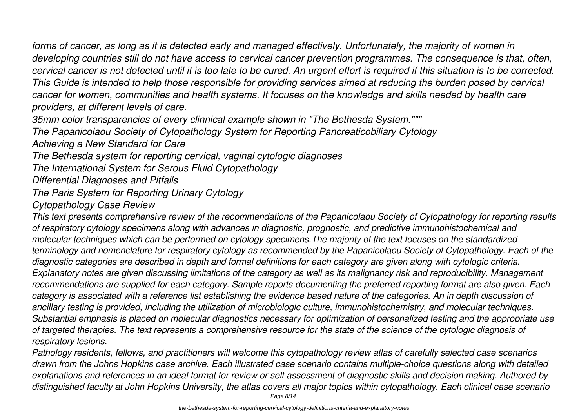*forms of cancer, as long as it is detected early and managed effectively. Unfortunately, the majority of women in developing countries still do not have access to cervical cancer prevention programmes. The consequence is that, often, cervical cancer is not detected until it is too late to be cured. An urgent effort is required if this situation is to be corrected. This Guide is intended to help those responsible for providing services aimed at reducing the burden posed by cervical cancer for women, communities and health systems. It focuses on the knowledge and skills needed by health care providers, at different levels of care.*

*35mm color transparencies of every clinnical example shown in "The Bethesda System."""*

*The Papanicolaou Society of Cytopathology System for Reporting Pancreaticobiliary Cytology*

*Achieving a New Standard for Care*

*The Bethesda system for reporting cervical, vaginal cytologic diagnoses*

*The International System for Serous Fluid Cytopathology*

*Differential Diagnoses and Pitfalls*

*The Paris System for Reporting Urinary Cytology*

*Cytopathology Case Review*

*This text presents comprehensive review of the recommendations of the Papanicolaou Society of Cytopathology for reporting results of respiratory cytology specimens along with advances in diagnostic, prognostic, and predictive immunohistochemical and molecular techniques which can be performed on cytology specimens.The majority of the text focuses on the standardized terminology and nomenclature for respiratory cytology as recommended by the Papanicolaou Society of Cytopathology. Each of the diagnostic categories are described in depth and formal definitions for each category are given along with cytologic criteria. Explanatory notes are given discussing limitations of the category as well as its malignancy risk and reproducibility. Management recommendations are supplied for each category. Sample reports documenting the preferred reporting format are also given. Each category is associated with a reference list establishing the evidence based nature of the categories. An in depth discussion of ancillary testing is provided, including the utilization of microbiologic culture, immunohistochemistry, and molecular techniques. Substantial emphasis is placed on molecular diagnostics necessary for optimization of personalized testing and the appropriate use of targeted therapies. The text represents a comprehensive resource for the state of the science of the cytologic diagnosis of respiratory lesions.*

*Pathology residents, fellows, and practitioners will welcome this cytopathology review atlas of carefully selected case scenarios drawn from the Johns Hopkins case archive. Each illustrated case scenario contains multiple-choice questions along with detailed explanations and references in an ideal format for review or self assessment of diagnostic skills and decision making. Authored by distinguished faculty at John Hopkins University, the atlas covers all major topics within cytopathology. Each clinical case scenario*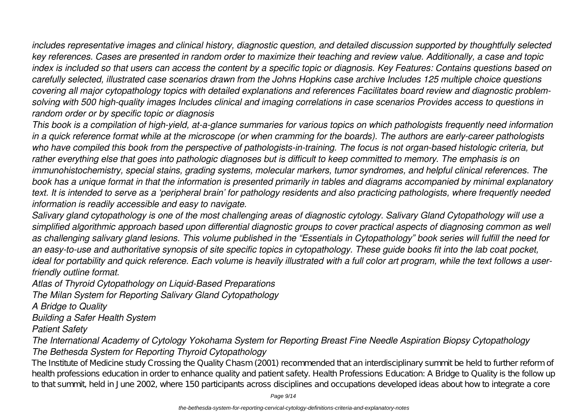*includes representative images and clinical history, diagnostic question, and detailed discussion supported by thoughtfully selected key references. Cases are presented in random order to maximize their teaching and review value. Additionally, a case and topic index is included so that users can access the content by a specific topic or diagnosis. Key Features: Contains questions based on carefully selected, illustrated case scenarios drawn from the Johns Hopkins case archive Includes 125 multiple choice questions covering all major cytopathology topics with detailed explanations and references Facilitates board review and diagnostic problemsolving with 500 high-quality images Includes clinical and imaging correlations in case scenarios Provides access to questions in random order or by specific topic or diagnosis*

*This book is a compilation of high-yield, at-a-glance summaries for various topics on which pathologists frequently need information in a quick reference format while at the microscope (or when cramming for the boards). The authors are early-career pathologists who have compiled this book from the perspective of pathologists-in-training. The focus is not organ-based histologic criteria, but rather everything else that goes into pathologic diagnoses but is difficult to keep committed to memory. The emphasis is on immunohistochemistry, special stains, grading systems, molecular markers, tumor syndromes, and helpful clinical references. The book has a unique format in that the information is presented primarily in tables and diagrams accompanied by minimal explanatory text. It is intended to serve as a 'peripheral brain' for pathology residents and also practicing pathologists, where frequently needed information is readily accessible and easy to navigate.*

*Salivary gland cytopathology is one of the most challenging areas of diagnostic cytology. Salivary Gland Cytopathology will use a simplified algorithmic approach based upon differential diagnostic groups to cover practical aspects of diagnosing common as well as challenging salivary gland lesions. This volume published in the "Essentials in Cytopathology" book series will fulfill the need for an easy-to-use and authoritative synopsis of site specific topics in cytopathology. These guide books fit into the lab coat pocket, ideal for portability and quick reference. Each volume is heavily illustrated with a full color art program, while the text follows a userfriendly outline format.*

*Atlas of Thyroid Cytopathology on Liquid-Based Preparations*

*The Milan System for Reporting Salivary Gland Cytopathology*

*A Bridge to Quality*

*Building a Safer Health System*

*Patient Safety*

*The International Academy of Cytology Yokohama System for Reporting Breast Fine Needle Aspiration Biopsy Cytopathology The Bethesda System for Reporting Thyroid Cytopathology*

The Institute of Medicine study Crossing the Quality Chasm (2001) recommended that an interdisciplinary summit be held to further reform of health professions education in order to enhance quality and patient safety. Health Professions Education: A Bridge to Quality is the follow up to that summit, held in June 2002, where 150 participants across disciplines and occupations developed ideas about how to integrate a core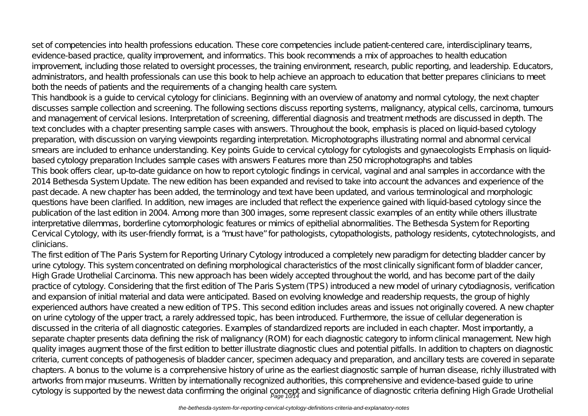set of competencies into health professions education. These core competencies include patient-centered care, interdisciplinary teams, evidence-based practice, quality improvement, and informatics. This book recommends a mix of approaches to health education improvement, including those related to oversight processes, the training environment, research, public reporting, and leadership. Educators, administrators, and health professionals can use this book to help achieve an approach to education that better prepares clinicians to meet both the needs of patients and the requirements of a changing health care system.

This handbook is a guide to cervical cytology for clinicians. Beginning with an overview of anatomy and normal cytology, the next chapter discusses sample collection and screening. The following sections discuss reporting systems, malignancy, atypical cells, carcinoma, tumours and management of cervical lesions. Interpretation of screening, differential diagnosis and treatment methods are discussed in depth. The text concludes with a chapter presenting sample cases with answers. Throughout the book, emphasis is placed on liquid-based cytology preparation, with discussion on varying viewpoints regarding interpretation. Microphotographs illustrating normal and abnormal cervical smears are included to enhance understanding. Key points Guide to cervical cytology for cytologists and gynaecologists Emphasis on liquidbased cytology preparation Includes sample cases with answers Features more than 250 microphotographs and tables This book offers clear, up-to-date guidance on how to report cytologic findings in cervical, vaginal and anal samples in accordance with the 2014 Bethesda System Update. The new edition has been expanded and revised to take into account the advances and experience of the past decade. A new chapter has been added, the terminology and text have been updated, and various terminological and morphologic questions have been clarified. In addition, new images are included that reflect the experience gained with liquid-based cytology since the publication of the last edition in 2004. Among more than 300 images, some represent classic examples of an entity while others illustrate interpretative dilemmas, borderline cytomorphologic features or mimics of epithelial abnormalities. The Bethesda System for Reporting Cervical Cytology, with its user-friendly format, is a "must have" for pathologists, cytopathologists, pathology residents, cytotechnologists, and clinicians.

The first edition of The Paris System for Reporting Urinary Cytology introduced a completely new paradigm for detecting bladder cancer by urine cytology. This system concentrated on defining morphological characteristics of the most clinically significant form of bladder cancer, High Grade Urothelial Carcinoma. This new approach has been widely accepted throughout the world, and has become part of the daily practice of cytology. Considering that the first edition of The Paris System (TPS) introduced a new model of urinary cytodiagnosis, verification and expansion of initial material and data were anticipated. Based on evolving knowledge and readership requests, the group of highly experienced authors have created a new edition of TPS. This second edition includes areas and issues not originally covered. A new chapter on urine cytology of the upper tract, a rarely addressed topic, has been introduced. Furthermore, the issue of cellular degeneration is discussed in the criteria of all diagnostic categories. Examples of standardized reports are included in each chapter. Most importantly, a separate chapter presents data defining the risk of malignancy (ROM) for each diagnostic category to inform clinical management. New high quality images augment those of the first edition to better illustrate diagnostic clues and potential pitfalls. In addition to chapters on diagnostic criteria, current concepts of pathogenesis of bladder cancer, specimen adequacy and preparation, and ancillary tests are covered in separate chapters. A bonus to the volume is a comprehensive history of urine as the earliest diagnostic sample of human disease, richly illustrated with artworks from major museums. Written by internationally recognized authorities, this comprehensive and evidence-based guide to urine cytology is supported by the newest data confirming the original concept and significance of diagnostic criteria defining High Grade Urothelial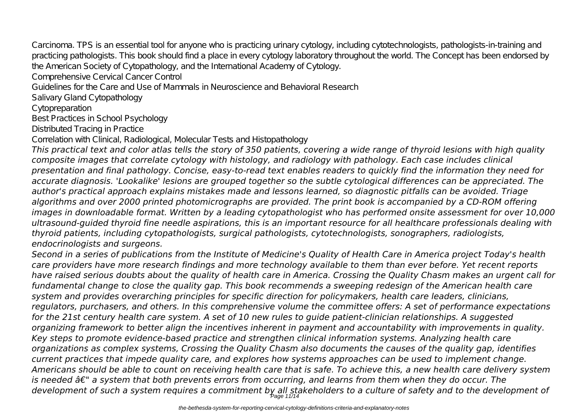Carcinoma. TPS is an essential tool for anyone who is practicing urinary cytology, including cytotechnologists, pathologists-in-training and practicing pathologists. This book should find a place in every cytology laboratory throughout the world. The Concept has been endorsed by the American Society of Cytopathology, and the International Academy of Cytology.

Comprehensive Cervical Cancer Control

Guidelines for the Care and Use of Mammals in Neuroscience and Behavioral Research

Salivary Gland Cytopathology

Cytopreparation

Best Practices in School Psychology

Distributed Tracing in Practice

Correlation with Clinical, Radiological, Molecular Tests and Histopathology

*This practical text and color atlas tells the story of 350 patients, covering a wide range of thyroid lesions with high quality composite images that correlate cytology with histology, and radiology with pathology. Each case includes clinical presentation and final pathology. Concise, easy-to-read text enables readers to quickly find the information they need for accurate diagnosis. 'Lookalike' lesions are grouped together so the subtle cytological differences can be appreciated. The author's practical approach explains mistakes made and lessons learned, so diagnostic pitfalls can be avoided. Triage algorithms and over 2000 printed photomicrographs are provided. The print book is accompanied by a CD-ROM offering images in downloadable format. Written by a leading cytopathologist who has performed onsite assessment for over 10,000 ultrasound-guided thyroid fine needle aspirations, this is an important resource for all healthcare professionals dealing with thyroid patients, including cytopathologists, surgical pathologists, cytotechnologists, sonographers, radiologists, endocrinologists and surgeons.*

*Second in a series of publications from the Institute of Medicine's Quality of Health Care in America project Today's health care providers have more research findings and more technology available to them than ever before. Yet recent reports have raised serious doubts about the quality of health care in America. Crossing the Quality Chasm makes an urgent call for fundamental change to close the quality gap. This book recommends a sweeping redesign of the American health care system and provides overarching principles for specific direction for policymakers, health care leaders, clinicians, regulators, purchasers, and others. In this comprehensive volume the committee offers: A set of performance expectations for the 21st century health care system. A set of 10 new rules to guide patient-clinician relationships. A suggested organizing framework to better align the incentives inherent in payment and accountability with improvements in quality. Key steps to promote evidence-based practice and strengthen clinical information systems. Analyzing health care organizations as complex systems, Crossing the Quality Chasm also documents the causes of the quality gap, identifies current practices that impede quality care, and explores how systems approaches can be used to implement change. Americans should be able to count on receiving health care that is safe. To achieve this, a new health care delivery system is needed â€" a system that both prevents errors from occurring, and learns from them when they do occur. The development of such a system requires a commitment by all stakeholders to a culture of safety and to the development of* Page 11/14

the-bethesda-system-for-reporting-cervical-cytology-definitions-criteria-and-explanatory-notes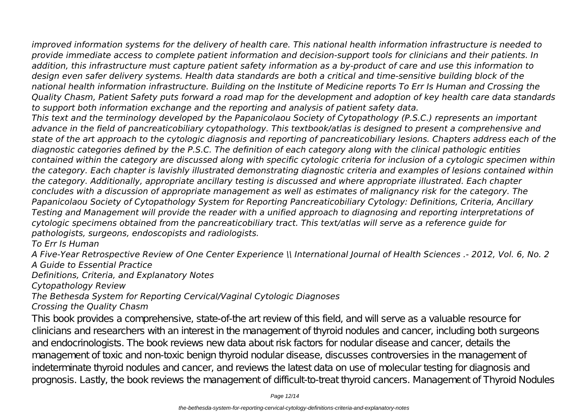*improved information systems for the delivery of health care. This national health information infrastructure is needed to provide immediate access to complete patient information and decision-support tools for clinicians and their patients. In addition, this infrastructure must capture patient safety information as a by-product of care and use this information to design even safer delivery systems. Health data standards are both a critical and time-sensitive building block of the national health information infrastructure. Building on the Institute of Medicine reports To Err Is Human and Crossing the Quality Chasm, Patient Safety puts forward a road map for the development and adoption of key health care data standards to support both information exchange and the reporting and analysis of patient safety data.*

*This text and the terminology developed by the Papanicolaou Society of Cytopathology (P.S.C.) represents an important advance in the field of pancreaticobiliary cytopathology. This textbook/atlas is designed to present a comprehensive and state of the art approach to the cytologic diagnosis and reporting of pancreaticobiliary lesions. Chapters address each of the diagnostic categories defined by the P.S.C. The definition of each category along with the clinical pathologic entities contained within the category are discussed along with specific cytologic criteria for inclusion of a cytologic specimen within the category. Each chapter is lavishly illustrated demonstrating diagnostic criteria and examples of lesions contained within the category. Additionally, appropriate ancillary testing is discussed and where appropriate illustrated. Each chapter concludes with a discussion of appropriate management as well as estimates of malignancy risk for the category. The Papanicolaou Society of Cytopathology System for Reporting Pancreaticobiliary Cytology: Definitions, Criteria, Ancillary Testing and Management will provide the reader with a unified approach to diagnosing and reporting interpretations of cytologic specimens obtained from the pancreaticobiliary tract. This text/atlas will serve as a reference guide for pathologists, surgeons, endoscopists and radiologists.*

### *To Err Is Human*

*A Five-Year Retrospective Review of One Center Experience \\ International Journal of Health Sciences .- 2012, Vol. 6, No. 2 A Guide to Essential Practice*

*Definitions, Criteria, and Explanatory Notes*

*Cytopathology Review*

# *The Bethesda System for Reporting Cervical/Vaginal Cytologic Diagnoses*

# *Crossing the Quality Chasm*

This book provides a comprehensive, state-of-the art review of this field, and will serve as a valuable resource for clinicians and researchers with an interest in the management of thyroid nodules and cancer, including both surgeons and endocrinologists. The book reviews new data about risk factors for nodular disease and cancer, details the management of toxic and non-toxic benign thyroid nodular disease, discusses controversies in the management of indeterminate thyroid nodules and cancer, and reviews the latest data on use of molecular testing for diagnosis and prognosis. Lastly, the book reviews the management of difficult-to-treat thyroid cancers. Management of Thyroid Nodules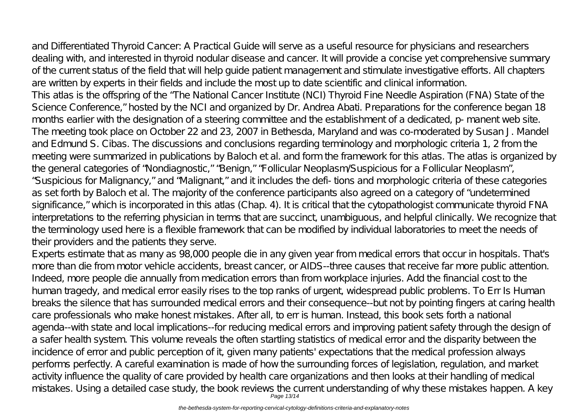and Differentiated Thyroid Cancer: A Practical Guide will serve as a useful resource for physicians and researchers dealing with, and interested in thyroid nodular disease and cancer. It will provide a concise yet comprehensive summary of the current status of the field that will help guide patient management and stimulate investigative efforts. All chapters are written by experts in their fields and include the most up to date scientific and clinical information. This atlas is the offspring of the "The National Cancer Institute (NCI) Thyroid Fine Needle Aspiration (FNA) State of the Science Conference," hosted by the NCI and organized by Dr. Andrea Abati. Preparations for the conference began 18 months earlier with the designation of a steering committee and the establishment of a dedicated, p- manent web site. The meeting took place on October 22 and 23, 2007 in Bethesda, Maryland and was co-moderated by Susan J. Mandel and Edmund S. Cibas. The discussions and conclusions regarding terminology and morphologic criteria 1, 2 from the meeting were summarized in publications by Baloch et al. and form the framework for this atlas. The atlas is organized by the general categories of "Nondiagnostic," "Benign," "Follicular Neoplasm/Suspicious for a Follicular Neoplasm", "Suspicious for Malignancy," and "Malignant," and it includes the defi- tions and morphologic criteria of these categories as set forth by Baloch et al. The majority of the conference participants also agreed on a category of "undetermined significance," which is incorporated in this atlas (Chap. 4). It is critical that the cytopathologist communicate thyroid FNA interpretations to the referring physician in terms that are succinct, unambiguous, and helpful clinically. We recognize that the terminology used here is a flexible framework that can be modified by individual laboratories to meet the needs of their providers and the patients they serve.

Experts estimate that as many as 98,000 people die in any given year from medical errors that occur in hospitals. That's more than die from motor vehicle accidents, breast cancer, or AIDS--three causes that receive far more public attention. Indeed, more people die annually from medication errors than from workplace injuries. Add the financial cost to the human tragedy, and medical error easily rises to the top ranks of urgent, widespread public problems. To Err Is Human breaks the silence that has surrounded medical errors and their consequence--but not by pointing fingers at caring health care professionals who make honest mistakes. After all, to err is human. Instead, this book sets forth a national agenda--with state and local implications--for reducing medical errors and improving patient safety through the design of a safer health system. This volume reveals the often startling statistics of medical error and the disparity between the incidence of error and public perception of it, given many patients' expectations that the medical profession always performs perfectly. A careful examination is made of how the surrounding forces of legislation, regulation, and market activity influence the quality of care provided by health care organizations and then looks at their handling of medical mistakes. Using a detailed case study, the book reviews the current understanding of why these mistakes happen. A key Page 13/14